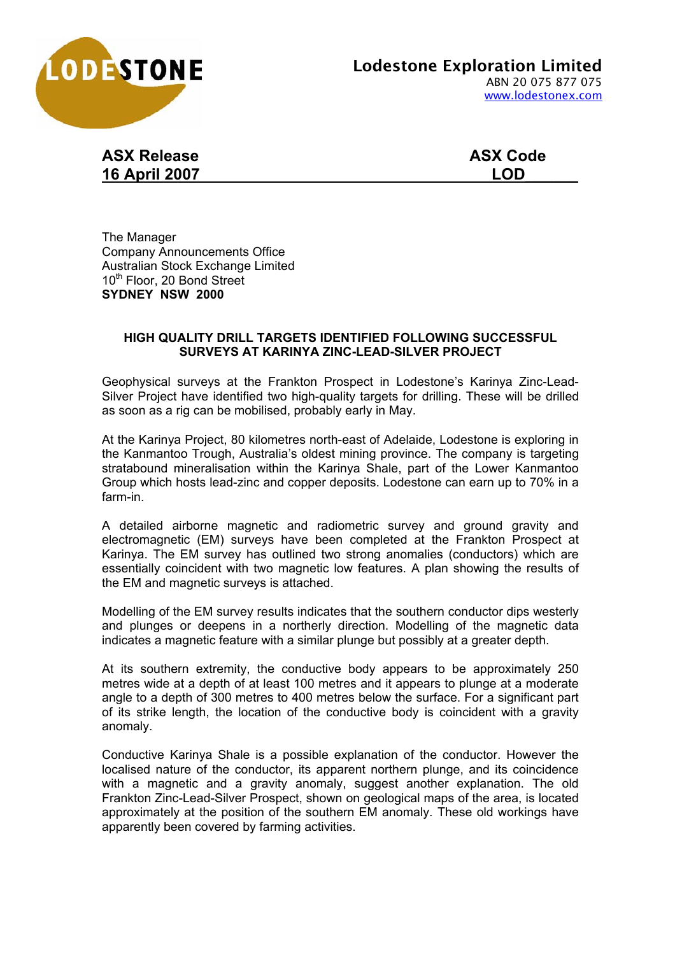

## **ASX Release ASX Code 16 April 2007 LOD\_\_\_\_\_\_**

The Manager Company Announcements Office Australian Stock Exchange Limited 10<sup>th</sup> Floor, 20 Bond Street **SYDNEY NSW 2000** 

## **HIGH QUALITY DRILL TARGETS IDENTIFIED FOLLOWING SUCCESSFUL SURVEYS AT KARINYA ZINC-LEAD-SILVER PROJECT**

Geophysical surveys at the Frankton Prospect in Lodestone's Karinya Zinc-Lead-Silver Project have identified two high-quality targets for drilling. These will be drilled as soon as a rig can be mobilised, probably early in May.

At the Karinya Project, 80 kilometres north-east of Adelaide, Lodestone is exploring in the Kanmantoo Trough, Australia's oldest mining province. The company is targeting stratabound mineralisation within the Karinya Shale, part of the Lower Kanmantoo Group which hosts lead-zinc and copper deposits. Lodestone can earn up to 70% in a farm-in.

A detailed airborne magnetic and radiometric survey and ground gravity and electromagnetic (EM) surveys have been completed at the Frankton Prospect at Karinya. The EM survey has outlined two strong anomalies (conductors) which are essentially coincident with two magnetic low features. A plan showing the results of the EM and magnetic surveys is attached.

Modelling of the EM survey results indicates that the southern conductor dips westerly and plunges or deepens in a northerly direction. Modelling of the magnetic data indicates a magnetic feature with a similar plunge but possibly at a greater depth.

At its southern extremity, the conductive body appears to be approximately 250 metres wide at a depth of at least 100 metres and it appears to plunge at a moderate angle to a depth of 300 metres to 400 metres below the surface. For a significant part of its strike length, the location of the conductive body is coincident with a gravity anomaly.

Conductive Karinya Shale is a possible explanation of the conductor. However the localised nature of the conductor, its apparent northern plunge, and its coincidence with a magnetic and a gravity anomaly, suggest another explanation. The old Frankton Zinc-Lead-Silver Prospect, shown on geological maps of the area, is located approximately at the position of the southern EM anomaly. These old workings have apparently been covered by farming activities.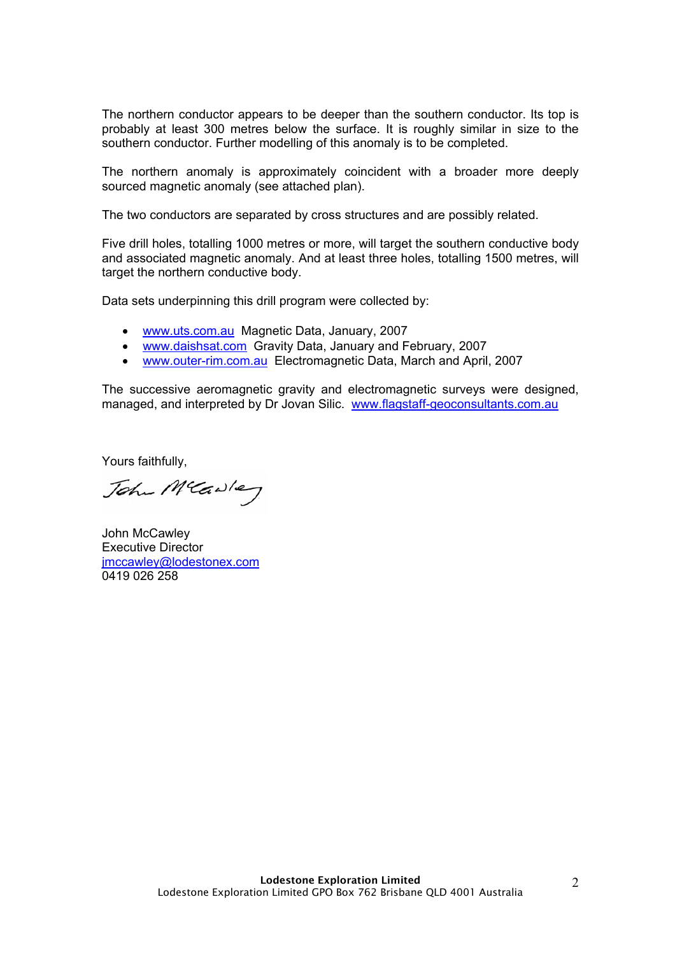The northern conductor appears to be deeper than the southern conductor. Its top is probably at least 300 metres below the surface. It is roughly similar in size to the southern conductor. Further modelling of this anomaly is to be completed.

The northern anomaly is approximately coincident with a broader more deeply sourced magnetic anomaly (see attached plan).

The two conductors are separated by cross structures and are possibly related.

Five drill holes, totalling 1000 metres or more, will target the southern conductive body and associated magnetic anomaly. And at least three holes, totalling 1500 metres, will target the northern conductive body.

Data sets underpinning this drill program were collected by:

- www.uts.com.au Magnetic Data, January, 2007
- www.daishsat.com Gravity Data, January and February, 2007
- www.outer-rim.com.au Electromagnetic Data, March and April, 2007

The successive aeromagnetic gravity and electromagnetic surveys were designed, managed, and interpreted by Dr Jovan Silic. www.flagstaff-geoconsultants.com.au

Yours faithfully,

John Meadley

John McCawley Executive Director jmccawley@lodestonex.com 0419 026 258